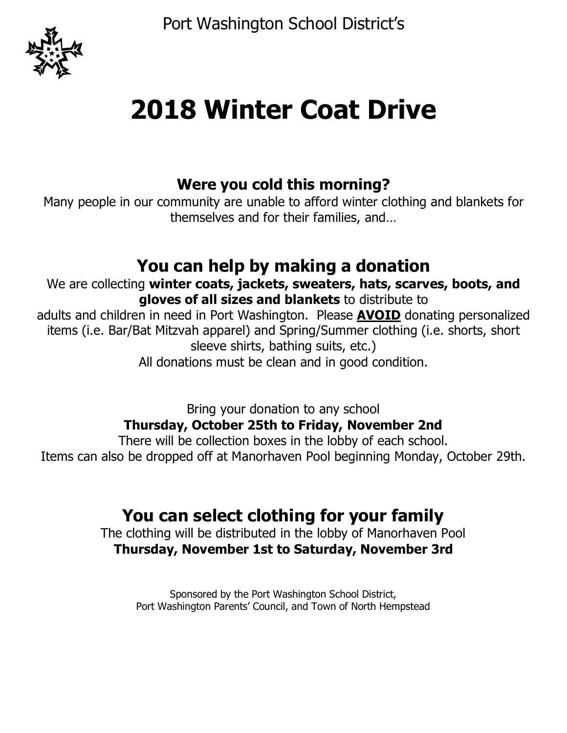Port Washington School District's



# **2018 Winter Coat Drive**

### **Were you cold this morning?**

Many people in our community are unable to afford winter clothing and blankets for themselves and for their families, and…

## **You can help by making a donation**

We are collecting **winter coats, jackets, sweaters, hats, scarves, boots, and gloves of all sizes and blankets** to distribute to

adults and children in need in Port Washington. Please **AVOID** donating personalized items (i.e. Bar/Bat Mitzvah apparel) and Spring/Summer clothing (i.e. shorts, short sleeve shirts, bathing suits, etc.)

All donations must be clean and in good condition.

Bring your donation to any school

### **Thursday, October 25th to Friday, November 2nd**

There will be collection boxes in the lobby of each school. Items can also be dropped off at Manorhaven Pool beginning Monday, October 29th.

# **You can select clothing for your family**

The clothing will be distributed in the lobby of Manorhaven Pool **Thursday, November 1st to Saturday, November 3rd**

Sponsored by the Port Washington School District, Port Washington Parents' Council, and Town of North Hempstead